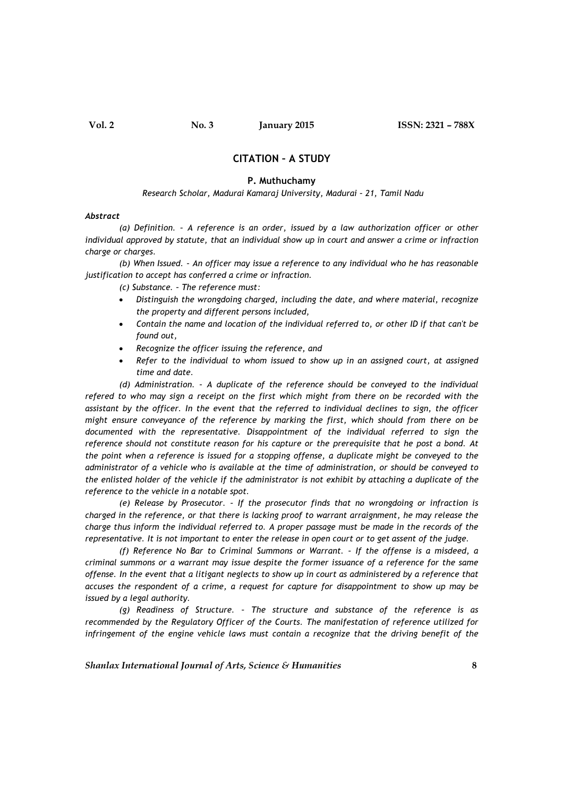# CITATION – A STUDY

### P. Muthuchamy

#### Research Scholar, Madurai Kamaraj University, Madurai – 21, Tamil Nadu

#### Abstract

(a) Definition. – A reference is an order, issued by a law authorization officer or other individual approved by statute, that an individual show up in court and answer a crime or infraction charge or charges.

(b) When Issued. – An officer may issue a reference to any individual who he has reasonable justification to accept has conferred a crime or infraction.

(c) Substance. – The reference must:

- Distinguish the wrongdoing charged, including the date, and where material, recognize the property and different persons included,
- Contain the name and location of the individual referred to, or other ID if that can't be found out,
- Recognize the officer issuing the reference, and
- Refer to the individual to whom issued to show up in an assigned court, at assigned time and date.

(d) Administration. – A duplicate of the reference should be conveyed to the individual refered to who may sign a receipt on the first which might from there on be recorded with the assistant by the officer. In the event that the referred to individual declines to sign, the officer might ensure conveyance of the reference by marking the first, which should from there on be documented with the representative. Disappointment of the individual referred to sign the reference should not constitute reason for his capture or the prerequisite that he post a bond. At the point when a reference is issued for a stopping offense, a duplicate might be conveyed to the administrator of a vehicle who is available at the time of administration, or should be conveyed to the enlisted holder of the vehicle if the administrator is not exhibit by attaching a duplicate of the reference to the vehicle in a notable spot.

(e) Release by Prosecutor. – If the prosecutor finds that no wrongdoing or infraction is charged in the reference, or that there is lacking proof to warrant arraignment, he may release the charge thus inform the individual referred to. A proper passage must be made in the records of the representative. It is not important to enter the release in open court or to get assent of the judge.

(f) Reference No Bar to Criminal Summons or Warrant. – If the offense is a misdeed, a criminal summons or a warrant may issue despite the former issuance of a reference for the same offense. In the event that a litigant neglects to show up in court as administered by a reference that accuses the respondent of a crime, a request for capture for disappointment to show up may be issued by a legal authority.

(g) Readiness of Structure. – The structure and substance of the reference is as recommended by the Regulatory Officer of the Courts. The manifestation of reference utilized for infringement of the engine vehicle laws must contain a recognize that the driving benefit of the

Shanlax International Journal of Arts, Science & Humanities  $\overline{\phantom{a}}$  8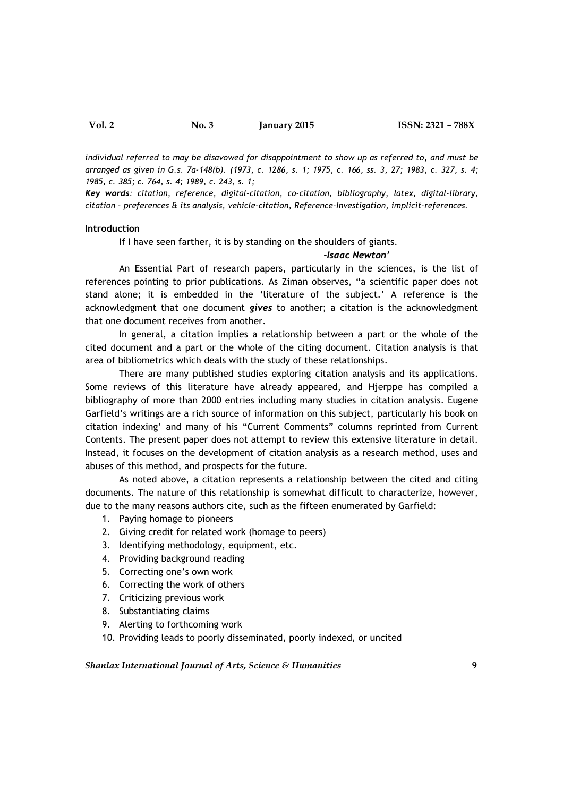individual referred to may be disavowed for disappointment to show up as referred to, and must be arranged as given in G.s. 7a-148(b). (1973, c. 1286, s. 1; 1975, c. 166, ss. 3, 27; 1983, c. 327, s. 4; 1985, c. 385; c. 764, s. 4; 1989, c. 243, s. 1;

Key words: citation, reference, digital-citation, co-citation, bibliography, latex, digital-library, citation – preferences & its analysis, vehicle-citation, Reference-Investigation, implicit-references.

#### Introduction

If I have seen farther, it is by standing on the shoulders of giants.

# -Isaac Newton'

An Essential Part of research papers, particularly in the sciences, is the list of references pointing to prior publications. As Ziman observes, "a scientific paper does not stand alone; it is embedded in the 'literature of the subject.' A reference is the acknowledgment that one document gives to another; a citation is the acknowledgment that one document receives from another.

In general, a citation implies a relationship between a part or the whole of the cited document and a part or the whole of the citing document. Citation analysis is that area of bibliometrics which deals with the study of these relationships.

There are many published studies exploring citation analysis and its applications. Some reviews of this literature have already appeared, and Hjerppe has compiled a bibliography of more than 2000 entries including many studies in citation analysis. Eugene Garfield's writings are a rich source of information on this subject, particularly his book on citation indexing' and many of his "Current Comments" columns reprinted from Current Contents. The present paper does not attempt to review this extensive literature in detail. Instead, it focuses on the development of citation analysis as a research method, uses and abuses of this method, and prospects for the future.

As noted above, a citation represents a relationship between the cited and citing documents. The nature of this relationship is somewhat difficult to characterize, however, due to the many reasons authors cite, such as the fifteen enumerated by Garfield:

- 1. Paying homage to pioneers
- 2. Giving credit for related work (homage to peers)
- 3. Identifying methodology, equipment, etc.
- 4. Providing background reading
- 5. Correcting one's own work
- 6. Correcting the work of others
- 7. Criticizing previous work
- 8. Substantiating claims
- 9. Alerting to forthcoming work
- 10. Providing leads to poorly disseminated, poorly indexed, or uncited

Shanlax International Journal of Arts, Science & Humanities  $\qquad \qquad \qquad \qquad \qquad \qquad$ 9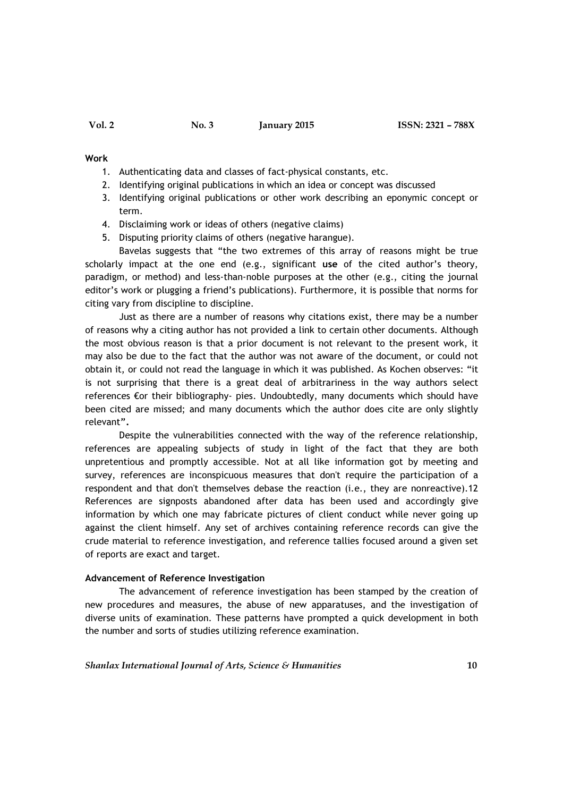#### Work

- 1. Authenticating data and classes of fact-physical constants, etc.
- 2. Identifying original publications in which an idea or concept was discussed
- 3. Identifying original publications or other work describing an eponymic concept or term.
- 4. Disclaiming work or ideas of others (negative claims)
- 5. Disputing priority claims of others (negative harangue).

Bavelas suggests that "the two extremes of this array of reasons might be true scholarly impact at the one end (e.g., significant use of the cited author's theory, paradigm, or method) and less-than-noble purposes at the other (e.g., citing the journal editor's work or plugging a friend's publications). Furthermore, it is possible that norms for citing vary from discipline to discipline.

Just as there are a number of reasons why citations exist, there may be a number of reasons why a citing author has not provided a link to certain other documents. Although the most obvious reason is that a prior document is not relevant to the present work, it may also be due to the fact that the author was not aware of the document, or could not obtain it, or could not read the language in which it was published. As Kochen observes: "it is not surprising that there is a great deal of arbitrariness in the way authors select references €or their bibliography- pies. Undoubtedly, many documents which should have been cited are missed; and many documents which the author does cite are only slightly relevant".

Despite the vulnerabilities connected with the way of the reference relationship, references are appealing subjects of study in light of the fact that they are both unpretentious and promptly accessible. Not at all like information got by meeting and survey, references are inconspicuous measures that don't require the participation of a respondent and that don't themselves debase the reaction (i.e., they are nonreactive).12 References are signposts abandoned after data has been used and accordingly give information by which one may fabricate pictures of client conduct while never going up against the client himself. Any set of archives containing reference records can give the crude material to reference investigation, and reference tallies focused around a given set of reports are exact and target.

## Advancement of Reference Investigation

The advancement of reference investigation has been stamped by the creation of new procedures and measures, the abuse of new apparatuses, and the investigation of diverse units of examination. These patterns have prompted a quick development in both the number and sorts of studies utilizing reference examination.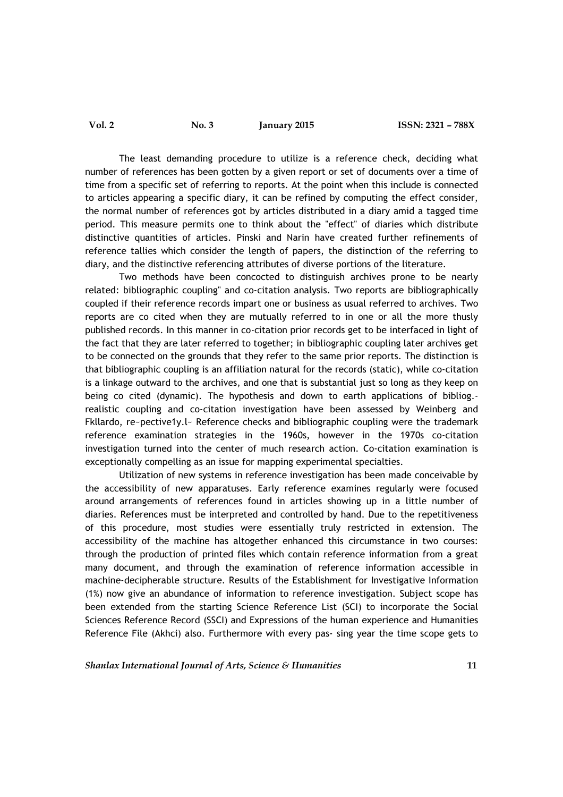The least demanding procedure to utilize is a reference check, deciding what number of references has been gotten by a given report or set of documents over a time of time from a specific set of referring to reports. At the point when this include is connected to articles appearing a specific diary, it can be refined by computing the effect consider, the normal number of references got by articles distributed in a diary amid a tagged time period. This measure permits one to think about the "effect" of diaries which distribute distinctive quantities of articles. Pinski and Narin have created further refinements of reference tallies which consider the length of papers, the distinction of the referring to diary, and the distinctive referencing attributes of diverse portions of the literature.

Two methods have been concocted to distinguish archives prone to be nearly related: bibliographic coupling'' and co-citation analysis. Two reports are bibliographically coupled if their reference records impart one or business as usual referred to archives. Two reports are co cited when they are mutually referred to in one or all the more thusly published records. In this manner in co-citation prior records get to be interfaced in light of the fact that they are later referred to together; in bibliographic coupling later archives get to be connected on the grounds that they refer to the same prior reports. The distinction is that bibliographic coupling is an affiliation natural for the records (static), while co-citation is a linkage outward to the archives, and one that is substantial just so long as they keep on being co cited (dynamic). The hypothesis and down to earth applications of bibliog. realistic coupling and co-citation investigation have been assessed by Weinberg and Fkllardo, re~pective1y.l~ Reference checks and bibliographic coupling were the trademark reference examination strategies in the 1960s, however in the 1970s co-citation investigation turned into the center of much research action. Co-citation examination is exceptionally compelling as an issue for mapping experimental specialties.

Utilization of new systems in reference investigation has been made conceivable by the accessibility of new apparatuses. Early reference examines regularly were focused around arrangements of references found in articles showing up in a little number of diaries. References must be interpreted and controlled by hand. Due to the repetitiveness of this procedure, most studies were essentially truly restricted in extension. The accessibility of the machine has altogether enhanced this circumstance in two courses: through the production of printed files which contain reference information from a great many document, and through the examination of reference information accessible in machine-decipherable structure. Results of the Establishment for Investigative Information (1%) now give an abundance of information to reference investigation. Subject scope has been extended from the starting Science Reference List (SCI) to incorporate the Social Sciences Reference Record (SSCI) and Expressions of the human experience and Humanities Reference File (Akhci) also. Furthermore with every pas- sing year the time scope gets to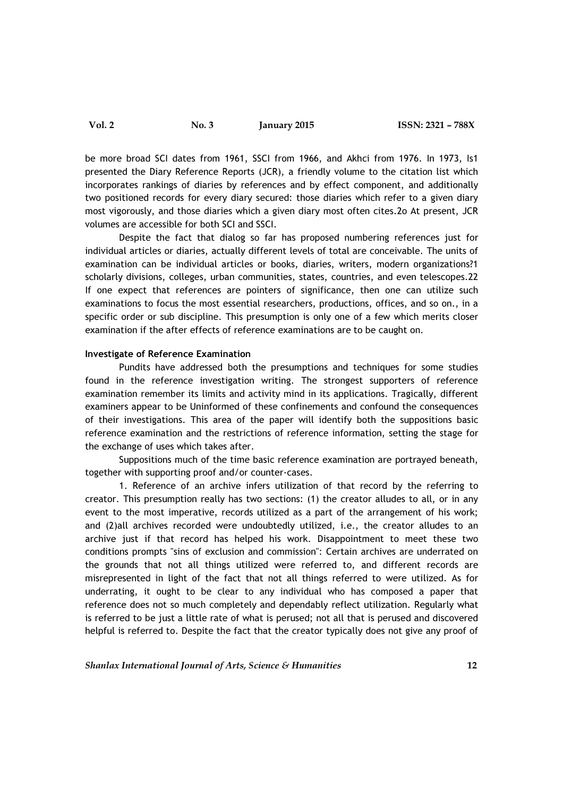be more broad SCI dates from 1961, SSCI from 1966, and Akhci from 1976. In 1973, Is1 presented the Diary Reference Reports (JCR), a friendly volume to the citation list which incorporates rankings of diaries by references and by effect component, and additionally two positioned records for every diary secured: those diaries which refer to a given diary most vigorously, and those diaries which a given diary most often cites.2o At present, JCR volumes are accessible for both SCI and SSCI.

Despite the fact that dialog so far has proposed numbering references just for individual articles or diaries, actually different levels of total are conceivable. The units of examination can be individual articles or books, diaries, writers, modern organizations?1 scholarly divisions, colleges, urban communities, states, countries, and even telescopes.22 If one expect that references are pointers of significance, then one can utilize such examinations to focus the most essential researchers, productions, offices, and so on., in a specific order or sub discipline. This presumption is only one of a few which merits closer examination if the after effects of reference examinations are to be caught on.

#### Investigate of Reference Examination

Pundits have addressed both the presumptions and techniques for some studies found in the reference investigation writing. The strongest supporters of reference examination remember its limits and activity mind in its applications. Tragically, different examiners appear to be Uninformed of these confinements and confound the consequences of their investigations. This area of the paper will identify both the suppositions basic reference examination and the restrictions of reference information, setting the stage for the exchange of uses which takes after.

Suppositions much of the time basic reference examination are portrayed beneath, together with supporting proof and/or counter-cases.

1. Reference of an archive infers utilization of that record by the referring to creator. This presumption really has two sections: (1) the creator alludes to all, or in any event to the most imperative, records utilized as a part of the arrangement of his work; and (2)all archives recorded were undoubtedly utilized, i.e., the creator alludes to an archive just if that record has helped his work. Disappointment to meet these two conditions prompts "sins of exclusion and commission": Certain archives are underrated on the grounds that not all things utilized were referred to, and different records are misrepresented in light of the fact that not all things referred to were utilized. As for underrating, it ought to be clear to any individual who has composed a paper that reference does not so much completely and dependably reflect utilization. Regularly what is referred to be just a little rate of what is perused; not all that is perused and discovered helpful is referred to. Despite the fact that the creator typically does not give any proof of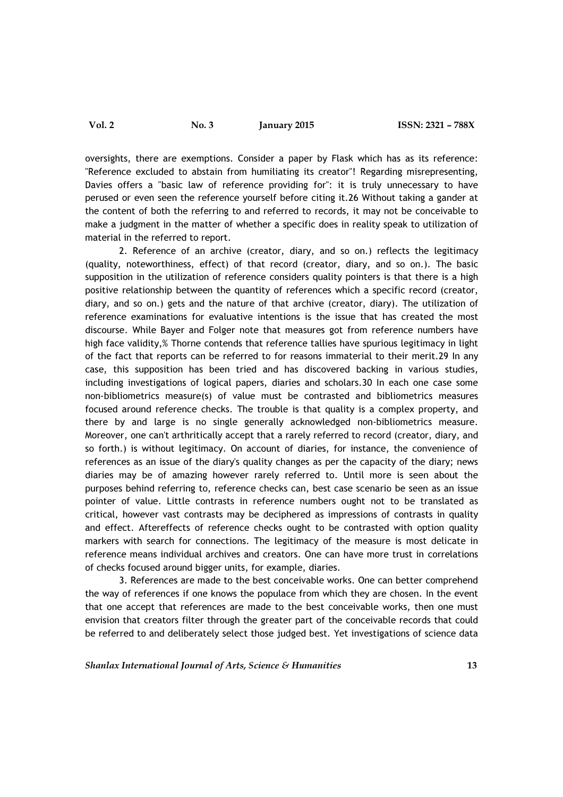oversights, there are exemptions. Consider a paper by Flask which has as its reference: "Reference excluded to abstain from humiliating its creator"! Regarding misrepresenting, Davies offers a "basic law of reference providing for": it is truly unnecessary to have perused or even seen the reference yourself before citing it.26 Without taking a gander at the content of both the referring to and referred to records, it may not be conceivable to make a judgment in the matter of whether a specific does in reality speak to utilization of material in the referred to report.

2. Reference of an archive (creator, diary, and so on.) reflects the legitimacy (quality, noteworthiness, effect) of that record (creator, diary, and so on.). The basic supposition in the utilization of reference considers quality pointers is that there is a high positive relationship between the quantity of references which a specific record (creator, diary, and so on.) gets and the nature of that archive (creator, diary). The utilization of reference examinations for evaluative intentions is the issue that has created the most discourse. While Bayer and Folger note that measures got from reference numbers have high face validity,% Thorne contends that reference tallies have spurious legitimacy in light of the fact that reports can be referred to for reasons immaterial to their merit.29 In any case, this supposition has been tried and has discovered backing in various studies, including investigations of logical papers, diaries and scholars.30 In each one case some non-bibliometrics measure(s) of value must be contrasted and bibliometrics measures focused around reference checks. The trouble is that quality is a complex property, and there by and large is no single generally acknowledged non-bibliometrics measure. Moreover, one can't arthritically accept that a rarely referred to record (creator, diary, and so forth.) is without legitimacy. On account of diaries, for instance, the convenience of references as an issue of the diary's quality changes as per the capacity of the diary; news diaries may be of amazing however rarely referred to. Until more is seen about the purposes behind referring to, reference checks can, best case scenario be seen as an issue pointer of value. Little contrasts in reference numbers ought not to be translated as critical, however vast contrasts may be deciphered as impressions of contrasts in quality and effect. Aftereffects of reference checks ought to be contrasted with option quality markers with search for connections. The legitimacy of the measure is most delicate in reference means individual archives and creators. One can have more trust in correlations of checks focused around bigger units, for example, diaries.

3. References are made to the best conceivable works. One can better comprehend the way of references if one knows the populace from which they are chosen. In the event that one accept that references are made to the best conceivable works, then one must envision that creators filter through the greater part of the conceivable records that could be referred to and deliberately select those judged best. Yet investigations of science data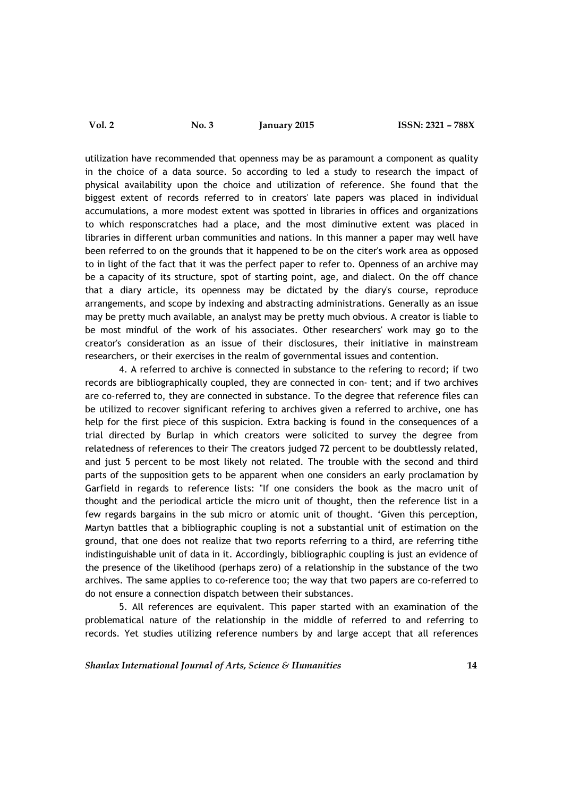utilization have recommended that openness may be as paramount a component as quality in the choice of a data source. So according to led a study to research the impact of physical availability upon the choice and utilization of reference. She found that the biggest extent of records referred to in creators' late papers was placed in individual accumulations, a more modest extent was spotted in libraries in offices and organizations to which responscratches had a place, and the most diminutive extent was placed in libraries in different urban communities and nations. In this manner a paper may well have been referred to on the grounds that it happened to be on the citer's work area as opposed to in light of the fact that it was the perfect paper to refer to. Openness of an archive may be a capacity of its structure, spot of starting point, age, and dialect. On the off chance that a diary article, its openness may be dictated by the diary's course, reproduce arrangements, and scope by indexing and abstracting administrations. Generally as an issue may be pretty much available, an analyst may be pretty much obvious. A creator is liable to be most mindful of the work of his associates. Other researchers' work may go to the creator's consideration as an issue of their disclosures, their initiative in mainstream researchers, or their exercises in the realm of governmental issues and contention.

4. A referred to archive is connected in substance to the refering to record; if two records are bibliographically coupled, they are connected in con- tent; and if two archives are co-referred to, they are connected in substance. To the degree that reference files can be utilized to recover significant refering to archives given a referred to archive, one has help for the first piece of this suspicion. Extra backing is found in the consequences of a trial directed by Burlap in which creators were solicited to survey the degree from relatedness of references to their The creators judged 72 percent to be doubtlessly related, and just 5 percent to be most likely not related. The trouble with the second and third parts of the supposition gets to be apparent when one considers an early proclamation by Garfield in regards to reference lists: "If one considers the book as the macro unit of thought and the periodical article the micro unit of thought, then the reference list in a few regards bargains in the sub micro or atomic unit of thought. 'Given this perception, Martyn battles that a bibliographic coupling is not a substantial unit of estimation on the ground, that one does not realize that two reports referring to a third, are referring tithe indistinguishable unit of data in it. Accordingly, bibliographic coupling is just an evidence of the presence of the likelihood (perhaps zero) of a relationship in the substance of the two archives. The same applies to co-reference too; the way that two papers are co-referred to do not ensure a connection dispatch between their substances.

5. All references are equivalent. This paper started with an examination of the problematical nature of the relationship in the middle of referred to and referring to records. Yet studies utilizing reference numbers by and large accept that all references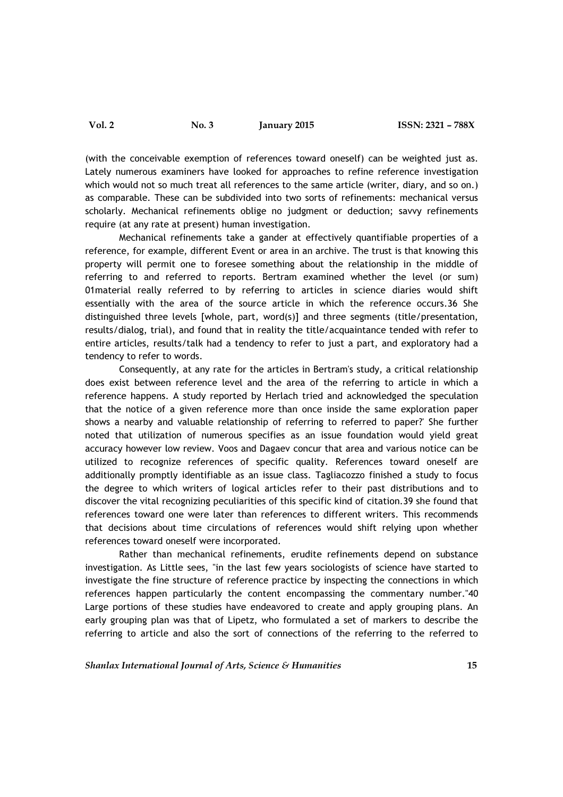(with the conceivable exemption of references toward oneself) can be weighted just as. Lately numerous examiners have looked for approaches to refine reference investigation which would not so much treat all references to the same article (writer, diary, and so on.) as comparable. These can be subdivided into two sorts of refinements: mechanical versus scholarly. Mechanical refinements oblige no judgment or deduction; savvy refinements require (at any rate at present) human investigation.

Mechanical refinements take a gander at effectively quantifiable properties of a reference, for example, different Event or area in an archive. The trust is that knowing this property will permit one to foresee something about the relationship in the middle of referring to and referred to reports. Bertram examined whether the level (or sum) 01material really referred to by referring to articles in science diaries would shift essentially with the area of the source article in which the reference occurs.36 She distinguished three levels [whole, part, word(s)] and three segments (title/presentation, results/dialog, trial), and found that in reality the title/acquaintance tended with refer to entire articles, results/talk had a tendency to refer to just a part, and exploratory had a tendency to refer to words.

Consequently, at any rate for the articles in Bertram's study, a critical relationship does exist between reference level and the area of the referring to article in which a reference happens. A study reported by Herlach tried and acknowledged the speculation that the notice of a given reference more than once inside the same exploration paper shows a nearby and valuable relationship of referring to referred to paper?' She further noted that utilization of numerous specifies as an issue foundation would yield great accuracy however low review. Voos and Dagaev concur that area and various notice can be utilized to recognize references of specific quality. References toward oneself are additionally promptly identifiable as an issue class. Tagliacozzo finished a study to focus the degree to which writers of logical articles refer to their past distributions and to discover the vital recognizing peculiarities of this specific kind of citation.39 she found that references toward one were later than references to different writers. This recommends that decisions about time circulations of references would shift relying upon whether references toward oneself were incorporated.

Rather than mechanical refinements, erudite refinements depend on substance investigation. As Little sees, "in the last few years sociologists of science have started to investigate the fine structure of reference practice by inspecting the connections in which references happen particularly the content encompassing the commentary number."40 Large portions of these studies have endeavored to create and apply grouping plans. An early grouping plan was that of Lipetz, who formulated a set of markers to describe the referring to article and also the sort of connections of the referring to the referred to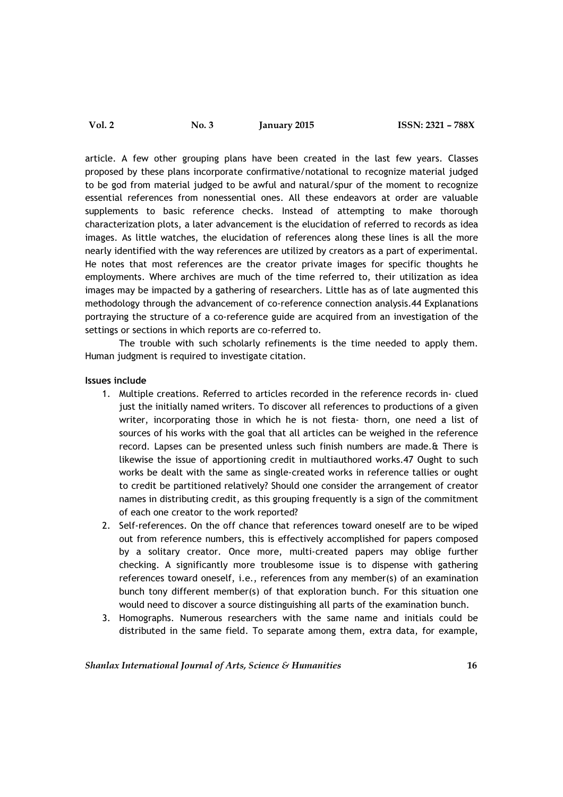article. A few other grouping plans have been created in the last few years. Classes proposed by these plans incorporate confirmative/notational to recognize material judged to be god from material judged to be awful and natural/spur of the moment to recognize essential references from nonessential ones. All these endeavors at order are valuable supplements to basic reference checks. Instead of attempting to make thorough characterization plots, a later advancement is the elucidation of referred to records as idea images. As little watches, the elucidation of references along these lines is all the more nearly identified with the way references are utilized by creators as a part of experimental. He notes that most references are the creator private images for specific thoughts he employments. Where archives are much of the time referred to, their utilization as idea images may be impacted by a gathering of researchers. Little has as of late augmented this methodology through the advancement of co-reference connection analysis.44 Explanations portraying the structure of a co-reference guide are acquired from an investigation of the settings or sections in which reports are co-referred to.

The trouble with such scholarly refinements is the time needed to apply them. Human judgment is required to investigate citation.

## Issues include

- 1. Multiple creations. Referred to articles recorded in the reference records in- clued just the initially named writers. To discover all references to productions of a given writer, incorporating those in which he is not fiesta- thorn, one need a list of sources of his works with the goal that all articles can be weighed in the reference record. Lapses can be presented unless such finish numbers are made.& There is likewise the issue of apportioning credit in multiauthored works.47 Ought to such works be dealt with the same as single-created works in reference tallies or ought to credit be partitioned relatively? Should one consider the arrangement of creator names in distributing credit, as this grouping frequently is a sign of the commitment of each one creator to the work reported?
- 2. Self-references. On the off chance that references toward oneself are to be wiped out from reference numbers, this is effectively accomplished for papers composed by a solitary creator. Once more, multi-created papers may oblige further checking. A significantly more troublesome issue is to dispense with gathering references toward oneself, i.e., references from any member(s) of an examination bunch tony different member(s) of that exploration bunch. For this situation one would need to discover a source distinguishing all parts of the examination bunch.
- 3. Homographs. Numerous researchers with the same name and initials could be distributed in the same field. To separate among them, extra data, for example,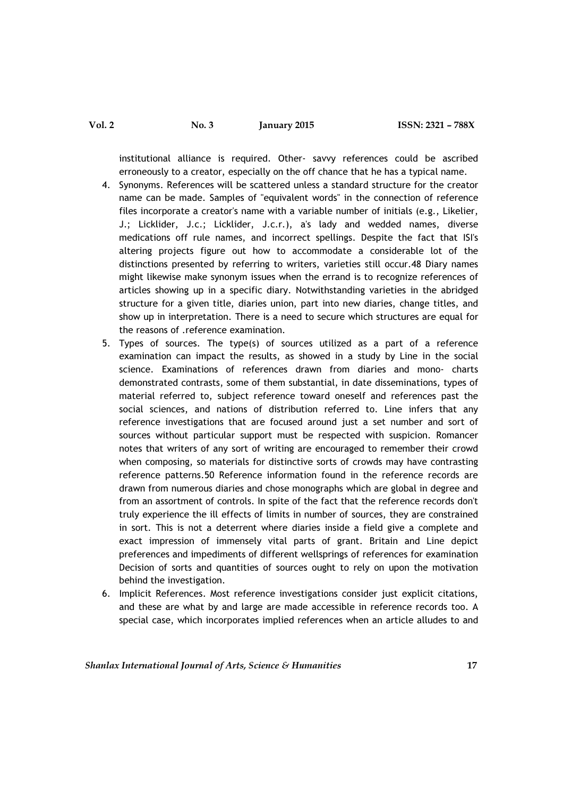institutional alliance is required. Other- savvy references could be ascribed erroneously to a creator, especially on the off chance that he has a typical name.

- 4. Synonyms. References will be scattered unless a standard structure for the creator name can be made. Samples of "equivalent words" in the connection of reference files incorporate a creator's name with a variable number of initials (e.g., Likelier, J.; Licklider, J.c.; Licklider, J.c.r.), a's lady and wedded names, diverse medications off rule names, and incorrect spellings. Despite the fact that ISI's altering projects figure out how to accommodate a considerable lot of the distinctions presented by referring to writers, varieties still occur.48 Diary names might likewise make synonym issues when the errand is to recognize references of articles showing up in a specific diary. Notwithstanding varieties in the abridged structure for a given title, diaries union, part into new diaries, change titles, and show up in interpretation. There is a need to secure which structures are equal for the reasons of .reference examination.
- 5. Types of sources. The type(s) of sources utilized as a part of a reference examination can impact the results, as showed in a study by Line in the social science. Examinations of references drawn from diaries and mono- charts demonstrated contrasts, some of them substantial, in date disseminations, types of material referred to, subject reference toward oneself and references past the social sciences, and nations of distribution referred to. Line infers that any reference investigations that are focused around just a set number and sort of sources without particular support must be respected with suspicion. Romancer notes that writers of any sort of writing are encouraged to remember their crowd when composing, so materials for distinctive sorts of crowds may have contrasting reference patterns.50 Reference information found in the reference records are drawn from numerous diaries and chose monographs which are global in degree and from an assortment of controls. In spite of the fact that the reference records don't truly experience the ill effects of limits in number of sources, they are constrained in sort. This is not a deterrent where diaries inside a field give a complete and exact impression of immensely vital parts of grant. Britain and Line depict preferences and impediments of different wellsprings of references for examination Decision of sorts and quantities of sources ought to rely on upon the motivation behind the investigation.
- 6. Implicit References. Most reference investigations consider just explicit citations, and these are what by and large are made accessible in reference records too. A special case, which incorporates implied references when an article alludes to and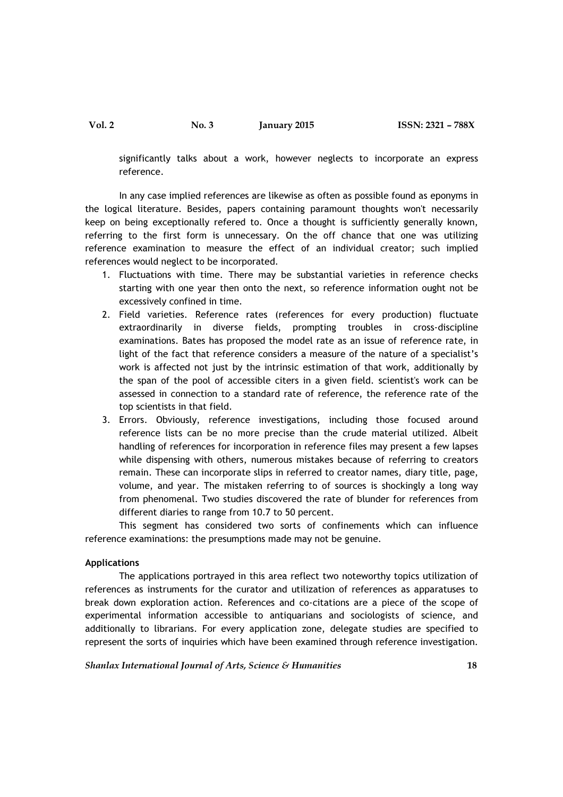significantly talks about a work, however neglects to incorporate an express reference.

In any case implied references are likewise as often as possible found as eponyms in the logical literature. Besides, papers containing paramount thoughts won't necessarily keep on being exceptionally refered to. Once a thought is sufficiently generally known, referring to the first form is unnecessary. On the off chance that one was utilizing reference examination to measure the effect of an individual creator; such implied references would neglect to be incorporated.

- 1. Fluctuations with time. There may be substantial varieties in reference checks starting with one year then onto the next, so reference information ought not be excessively confined in time.
- 2. Field varieties. Reference rates (references for every production) fluctuate extraordinarily in diverse fields, prompting troubles in cross-discipline examinations. Bates has proposed the model rate as an issue of reference rate, in light of the fact that reference considers a measure of the nature of a specialist's work is affected not just by the intrinsic estimation of that work, additionally by the span of the pool of accessible citers in a given field. scientist's work can be assessed in connection to a standard rate of reference, the reference rate of the top scientists in that field.
- 3. Errors. Obviously, reference investigations, including those focused around reference lists can be no more precise than the crude material utilized. Albeit handling of references for incorporation in reference files may present a few lapses while dispensing with others, numerous mistakes because of referring to creators remain. These can incorporate slips in referred to creator names, diary title, page, volume, and year. The mistaken referring to of sources is shockingly a long way from phenomenal. Two studies discovered the rate of blunder for references from different diaries to range from 10.7 to 50 percent.

This segment has considered two sorts of confinements which can influence reference examinations: the presumptions made may not be genuine.

### Applications

The applications portrayed in this area reflect two noteworthy topics utilization of references as instruments for the curator and utilization of references as apparatuses to break down exploration action. References and co-citations are a piece of the scope of experimental information accessible to antiquarians and sociologists of science, and additionally to librarians. For every application zone, delegate studies are specified to represent the sorts of inquiries which have been examined through reference investigation.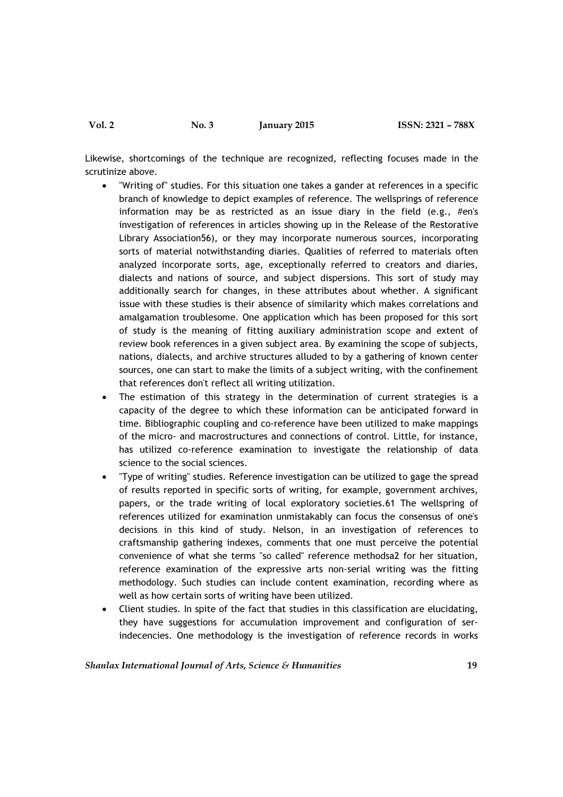Likewise, shortcomings of the technique are recognized, reflecting focuses made in the scrutinize above.

- "Writing of" studies. For this situation one takes a gander at references in a specific branch of knowledge to depict examples of reference. The wellsprings of reference information may be as restricted as an issue diary in the field (e.g.,  $#$ en's investigation of references in articles showing up in the Release of the Restorative Library Association56), or they may incorporate numerous sources, incorporating sorts of material notwithstanding diaries. Qualities of referred to materials often analyzed incorporate sorts, age, exceptionally referred to creators and diaries, dialects and nations of source, and subject dispersions. This sort of study may additionally search for changes, in these attributes about whether. A significant issue with these studies is their absence of similarity which makes correlations and amalgamation troublesome. One application which has been proposed for this sort of study is the meaning of fitting auxiliary administration scope and extent of review book references in a given subject area. By examining the scope of subjects, nations, dialects, and archive structures alluded to by a gathering of known center sources, one can start to make the limits of a subject writing, with the confinement that references don't reflect all writing utilization.
- The estimation of this strategy in the determination of current strategies is a capacity of the degree to which these information can be anticipated forward in time. Bibliographic coupling and co-reference have been utilized to make mappings of the micro- and macrostructures and connections of control. Little, for instance, has utilized co-reference examination to investigate the relationship of data science to the social sciences.
- "Type of writing" studies. Reference investigation can be utilized to gage the spread of results reported in specific sorts of writing, for example, government archives, papers, or the trade writing of local exploratory societies.61 The wellspring of references utilized for examination unmistakably can focus the consensus of one's decisions in this kind of study. Nelson, in an investigation of references to craftsmanship gathering indexes, comments that one must perceive the potential convenience of what she terms "so called" reference methodsa2 for her situation, reference examination of the expressive arts non-serial writing was the fitting methodology. Such studies can include content examination, recording where as well as how certain sorts of writing have been utilized.
- Client studies. In spite of the fact that studies in this classification are elucidating, they have suggestions for accumulation improvement and configuration of serindecencies. One methodology is the investigation of reference records in works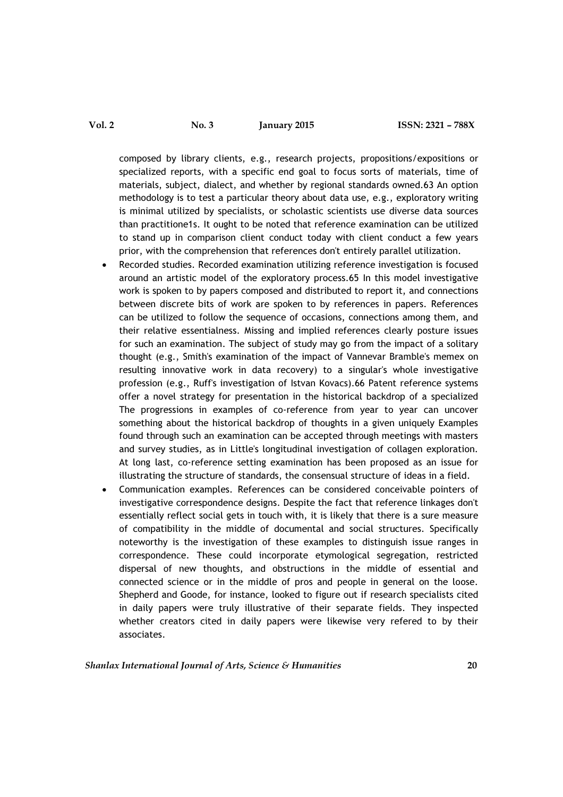composed by library clients, e.g., research projects, propositions/expositions or specialized reports, with a specific end goal to focus sorts of materials, time of materials, subject, dialect, and whether by regional standards owned.63 An option methodology is to test a particular theory about data use, e.g., exploratory writing is minimal utilized by specialists, or scholastic scientists use diverse data sources than practitione1s. It ought to be noted that reference examination can be utilized to stand up in comparison client conduct today with client conduct a few years prior, with the comprehension that references don't entirely parallel utilization.

- Recorded studies. Recorded examination utilizing reference investigation is focused around an artistic model of the exploratory process.65 In this model investigative work is spoken to by papers composed and distributed to report it, and connections between discrete bits of work are spoken to by references in papers. References can be utilized to follow the sequence of occasions, connections among them, and their relative essentialness. Missing and implied references clearly posture issues for such an examination. The subject of study may go from the impact of a solitary thought (e.g., Smith's examination of the impact of Vannevar Bramble's memex on resulting innovative work in data recovery) to a singular's whole investigative profession (e.g., Ruff's investigation of Istvan Kovacs).66 Patent reference systems offer a novel strategy for presentation in the historical backdrop of a specialized The progressions in examples of co-reference from year to year can uncover something about the historical backdrop of thoughts in a given uniquely Examples found through such an examination can be accepted through meetings with masters and survey studies, as in Little's longitudinal investigation of collagen exploration. At long last, co-reference setting examination has been proposed as an issue for illustrating the structure of standards, the consensual structure of ideas in a field.
- Communication examples. References can be considered conceivable pointers of investigative correspondence designs. Despite the fact that reference linkages don't essentially reflect social gets in touch with, it is likely that there is a sure measure of compatibility in the middle of documental and social structures. Specifically noteworthy is the investigation of these examples to distinguish issue ranges in correspondence. These could incorporate etymological segregation, restricted dispersal of new thoughts, and obstructions in the middle of essential and connected science or in the middle of pros and people in general on the loose. Shepherd and Goode, for instance, looked to figure out if research specialists cited in daily papers were truly illustrative of their separate fields. They inspected whether creators cited in daily papers were likewise very refered to by their associates.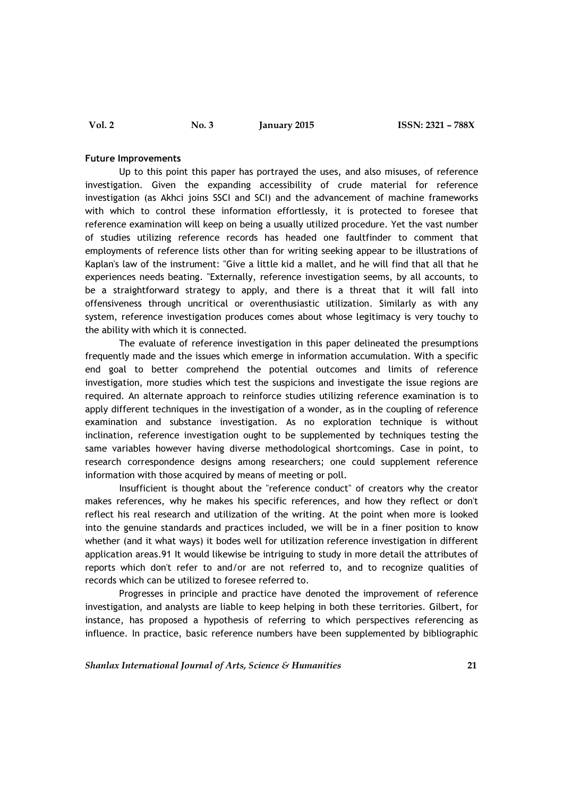### Future Improvements

Up to this point this paper has portrayed the uses, and also misuses, of reference investigation. Given the expanding accessibility of crude material for reference investigation (as Akhci joins SSCI and SCI) and the advancement of machine frameworks with which to control these information effortlessly, it is protected to foresee that reference examination will keep on being a usually utilized procedure. Yet the vast number of studies utilizing reference records has headed one faultfinder to comment that employments of reference lists other than for writing seeking appear to be illustrations of Kaplan's law of the instrument: "Give a little kid a mallet, and he will find that all that he experiences needs beating. "Externally, reference investigation seems, by all accounts, to be a straightforward strategy to apply, and there is a threat that it will fall into offensiveness through uncritical or overenthusiastic utilization. Similarly as with any system, reference investigation produces comes about whose legitimacy is very touchy to the ability with which it is connected.

The evaluate of reference investigation in this paper delineated the presumptions frequently made and the issues which emerge in information accumulation. With a specific end goal to better comprehend the potential outcomes and limits of reference investigation, more studies which test the suspicions and investigate the issue regions are required. An alternate approach to reinforce studies utilizing reference examination is to apply different techniques in the investigation of a wonder, as in the coupling of reference examination and substance investigation. As no exploration technique is without inclination, reference investigation ought to be supplemented by techniques testing the same variables however having diverse methodological shortcomings. Case in point, to research correspondence designs among researchers; one could supplement reference information with those acquired by means of meeting or poll.

Insufficient is thought about the "reference conduct" of creators why the creator makes references, why he makes his specific references, and how they reflect or don't reflect his real research and utilization of the writing. At the point when more is looked into the genuine standards and practices included, we will be in a finer position to know whether (and it what ways) it bodes well for utilization reference investigation in different application areas.91 It would likewise be intriguing to study in more detail the attributes of reports which don't refer to and/or are not referred to, and to recognize qualities of records which can be utilized to foresee referred to.

Progresses in principle and practice have denoted the improvement of reference investigation, and analysts are liable to keep helping in both these territories. Gilbert, for instance, has proposed a hypothesis of referring to which perspectives referencing as influence. In practice, basic reference numbers have been supplemented by bibliographic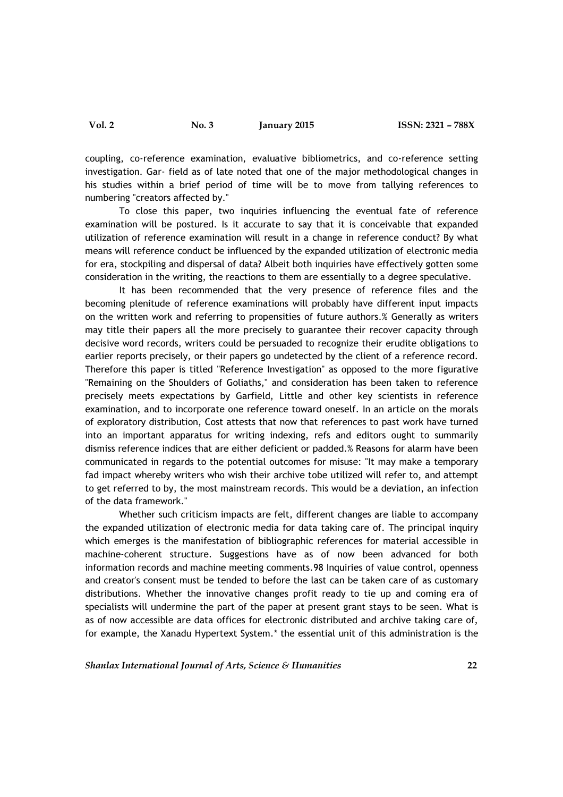coupling, co-reference examination, evaluative bibliometrics, and co-reference setting investigation. Gar- field as of late noted that one of the major methodological changes in his studies within a brief period of time will be to move from tallying references to numbering "creators affected by."

To close this paper, two inquiries influencing the eventual fate of reference examination will be postured. Is it accurate to say that it is conceivable that expanded utilization of reference examination will result in a change in reference conduct? By what means will reference conduct be influenced by the expanded utilization of electronic media for era, stockpiling and dispersal of data? Albeit both inquiries have effectively gotten some consideration in the writing, the reactions to them are essentially to a degree speculative.

It has been recommended that the very presence of reference files and the becoming plenitude of reference examinations will probably have different input impacts on the written work and referring to propensities of future authors.% Generally as writers may title their papers all the more precisely to guarantee their recover capacity through decisive word records, writers could be persuaded to recognize their erudite obligations to earlier reports precisely, or their papers go undetected by the client of a reference record. Therefore this paper is titled "Reference Investigation" as opposed to the more figurative "Remaining on the Shoulders of Goliaths," and consideration has been taken to reference precisely meets expectations by Garfield, Little and other key scientists in reference examination, and to incorporate one reference toward oneself. In an article on the morals of exploratory distribution, Cost attests that now that references to past work have turned into an important apparatus for writing indexing, refs and editors ought to summarily dismiss reference indices that are either deficient or padded.% Reasons for alarm have been communicated in regards to the potential outcomes for misuse: "It may make a temporary fad impact whereby writers who wish their archive tobe utilized will refer to, and attempt to get referred to by, the most mainstream records. This would be a deviation, an infection of the data framework."

Whether such criticism impacts are felt, different changes are liable to accompany the expanded utilization of electronic media for data taking care of. The principal inquiry which emerges is the manifestation of bibliographic references for material accessible in machine-coherent structure. Suggestions have as of now been advanced for both information records and machine meeting comments.98 Inquiries of value control, openness and creator's consent must be tended to before the last can be taken care of as customary distributions. Whether the innovative changes profit ready to tie up and coming era of specialists will undermine the part of the paper at present grant stays to be seen. What is as of now accessible are data offices for electronic distributed and archive taking care of, for example, the Xanadu Hypertext System.\* the essential unit of this administration is the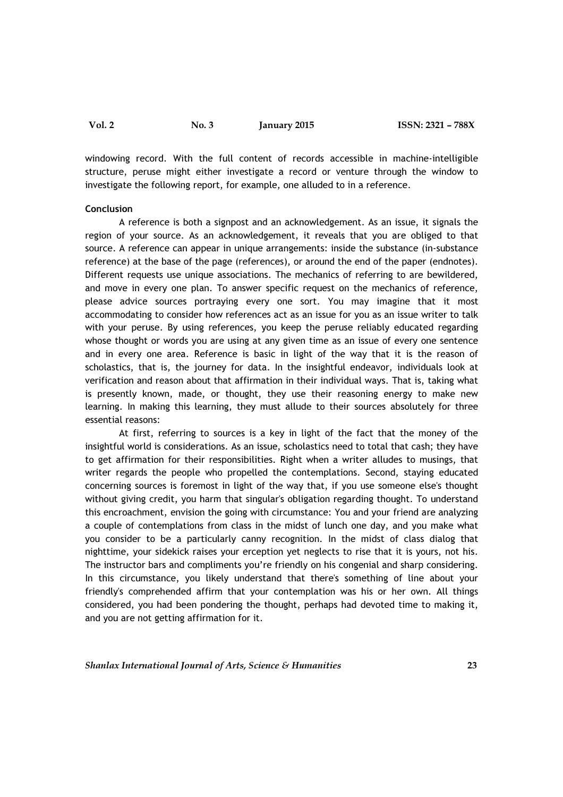windowing record. With the full content of records accessible in machine-intelligible structure, peruse might either investigate a record or venture through the window to investigate the following report, for example, one alluded to in a reference.

#### Conclusion

A reference is both a signpost and an acknowledgement. As an issue, it signals the region of your source. As an acknowledgement, it reveals that you are obliged to that source. A reference can appear in unique arrangements: inside the substance (in-substance reference) at the base of the page (references), or around the end of the paper (endnotes). Different requests use unique associations. The mechanics of referring to are bewildered, and move in every one plan. To answer specific request on the mechanics of reference, please advice sources portraying every one sort. You may imagine that it most accommodating to consider how references act as an issue for you as an issue writer to talk with your peruse. By using references, you keep the peruse reliably educated regarding whose thought or words you are using at any given time as an issue of every one sentence and in every one area. Reference is basic in light of the way that it is the reason of scholastics, that is, the journey for data. In the insightful endeavor, individuals look at verification and reason about that affirmation in their individual ways. That is, taking what is presently known, made, or thought, they use their reasoning energy to make new learning. In making this learning, they must allude to their sources absolutely for three essential reasons:

At first, referring to sources is a key in light of the fact that the money of the insightful world is considerations. As an issue, scholastics need to total that cash; they have to get affirmation for their responsibilities. Right when a writer alludes to musings, that writer regards the people who propelled the contemplations. Second, staying educated concerning sources is foremost in light of the way that, if you use someone else's thought without giving credit, you harm that singular's obligation regarding thought. To understand this encroachment, envision the going with circumstance: You and your friend are analyzing a couple of contemplations from class in the midst of lunch one day, and you make what you consider to be a particularly canny recognition. In the midst of class dialog that nighttime, your sidekick raises your erception yet neglects to rise that it is yours, not his. The instructor bars and compliments you're friendly on his congenial and sharp considering. In this circumstance, you likely understand that there's something of line about your friendly's comprehended affirm that your contemplation was his or her own. All things considered, you had been pondering the thought, perhaps had devoted time to making it, and you are not getting affirmation for it.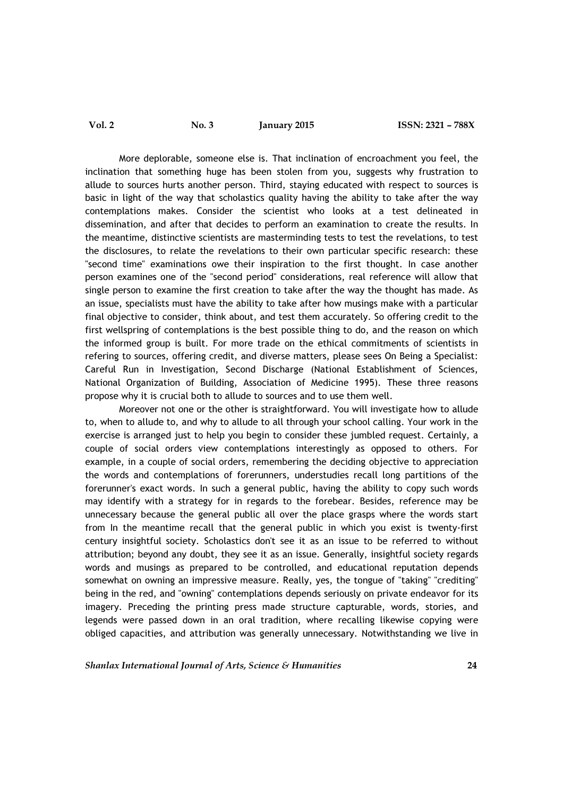More deplorable, someone else is. That inclination of encroachment you feel, the inclination that something huge has been stolen from you, suggests why frustration to allude to sources hurts another person. Third, staying educated with respect to sources is basic in light of the way that scholastics quality having the ability to take after the way contemplations makes. Consider the scientist who looks at a test delineated in dissemination, and after that decides to perform an examination to create the results. In the meantime, distinctive scientists are masterminding tests to test the revelations, to test the disclosures, to relate the revelations to their own particular specific research: these "second time" examinations owe their inspiration to the first thought. In case another person examines one of the "second period" considerations, real reference will allow that single person to examine the first creation to take after the way the thought has made. As an issue, specialists must have the ability to take after how musings make with a particular final objective to consider, think about, and test them accurately. So offering credit to the first wellspring of contemplations is the best possible thing to do, and the reason on which the informed group is built. For more trade on the ethical commitments of scientists in refering to sources, offering credit, and diverse matters, please sees On Being a Specialist: Careful Run in Investigation, Second Discharge (National Establishment of Sciences, National Organization of Building, Association of Medicine 1995). These three reasons propose why it is crucial both to allude to sources and to use them well.

Moreover not one or the other is straightforward. You will investigate how to allude to, when to allude to, and why to allude to all through your school calling. Your work in the exercise is arranged just to help you begin to consider these jumbled request. Certainly, a couple of social orders view contemplations interestingly as opposed to others. For example, in a couple of social orders, remembering the deciding objective to appreciation the words and contemplations of forerunners, understudies recall long partitions of the forerunner's exact words. In such a general public, having the ability to copy such words may identify with a strategy for in regards to the forebear. Besides, reference may be unnecessary because the general public all over the place grasps where the words start from In the meantime recall that the general public in which you exist is twenty-first century insightful society. Scholastics don't see it as an issue to be referred to without attribution; beyond any doubt, they see it as an issue. Generally, insightful society regards words and musings as prepared to be controlled, and educational reputation depends somewhat on owning an impressive measure. Really, yes, the tongue of "taking" "crediting" being in the red, and "owning" contemplations depends seriously on private endeavor for its imagery. Preceding the printing press made structure capturable, words, stories, and legends were passed down in an oral tradition, where recalling likewise copying were obliged capacities, and attribution was generally unnecessary. Notwithstanding we live in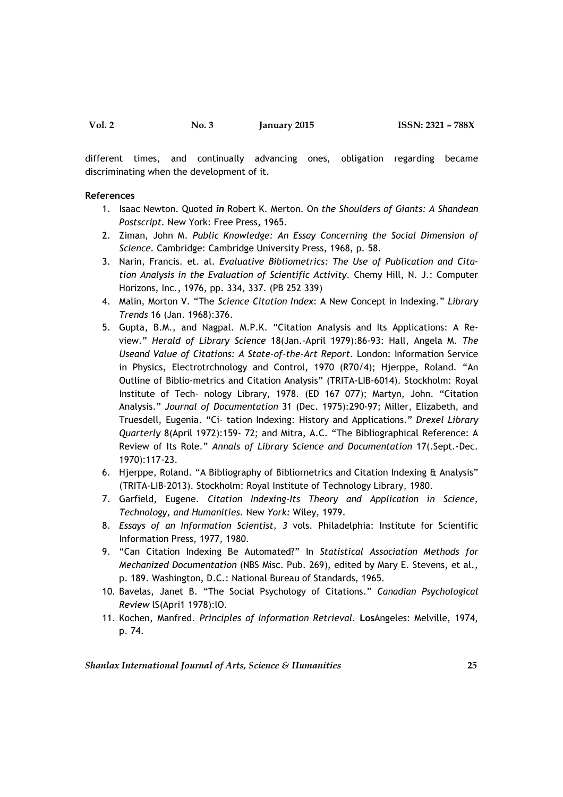different times, and continually advancing ones, obligation regarding became discriminating when the development of it.

#### References

- 1. Isaac Newton. Quoted in Robert K. Merton. On the Shoulders of Giants: A Shandean Postscript. New York: Free Press, 1965.
- 2. Ziman, John M. Public Knowledge: An Essay Concerning the Social Dimension of Science. Cambridge: Cambridge University Press, 1968, p. 58.
- 3. Narin, Francis. et. al. Evaluative Bibliometrics: The Use of Publication and Citation Analysis in the Evaluation of Scientific Activity. Chemy Hill, N. J.: Computer Horizons, Inc., 1976, pp. 334, 337. (PB 252 339)
- 4. Malin, Morton V. "The Science Citation Index: A New Concept in Indexing." Library Trends 16 (Jan. 1968):376.
- 5. Gupta, B.M., and Nagpal. M.P.K. "Citation Analysis and Its Applications: A Review." Herald of Library Science 18(Jan.-April 1979):86-93: Hall, Angela M. The Useand Value of Citations: A State-of-the-Art Report. London: Information Service in Physics, Electrotrchnology and Control, 1970 (R70/4); Hjerppe, Roland. "An Outline of Biblio-metrics and Citation Analysis" (TRITA-LIB-6014). Stockholm: Royal Institute of Tech- nology Library, 1978. (ED 167 077); Martyn, John. "Citation Analysis." Journal of Documentation 31 (Dec. 1975):290-97; Miller, Elizabeth, and Truesdell, Eugenia. "Ci- tation Indexing: History and Applications." Drexel Library Quarterly 8(April 1972):159- 72; and Mitra, A.C. "The Bibliographical Reference: A Review of Its Role." Annals of Library Science and Documentation 17(.Sept.-Dec. 1970):117-23.
- 6. Hjerppe, Roland. "A Bibliography of Bibliornetrics and Citation Indexing & Analysis" (TRITA-LIB-2013). Stockholm: Royal Institute of Technology Library, 1980.
- 7. Garfield, Eugene. Citation Indexing-Its Theory and Application in Science, Technology, and Humanities. New York: Wiley, 1979.
- 8. Essays of an Information Scientist, 3 vols. Philadelphia: Institute for Scientific Information Press, 1977, 1980.
- 9. "Can Citation Indexing Be Automated?" In Statistical Association Methods for Mechanized Documentation (NBS Misc. Pub. 269), edited by Mary E. Stevens, et al., p. 189. Washington, D.C.: National Bureau of Standards, 1965.
- 10. Bavelas, Janet B. "The Social Psychology of Citations." Canadian Psychological Review lS(Apri1 1978):lO.
- 11. Kochen, Manfred. Principles of Information Retrieval. LosAngeles: Melville, 1974, p. 74.